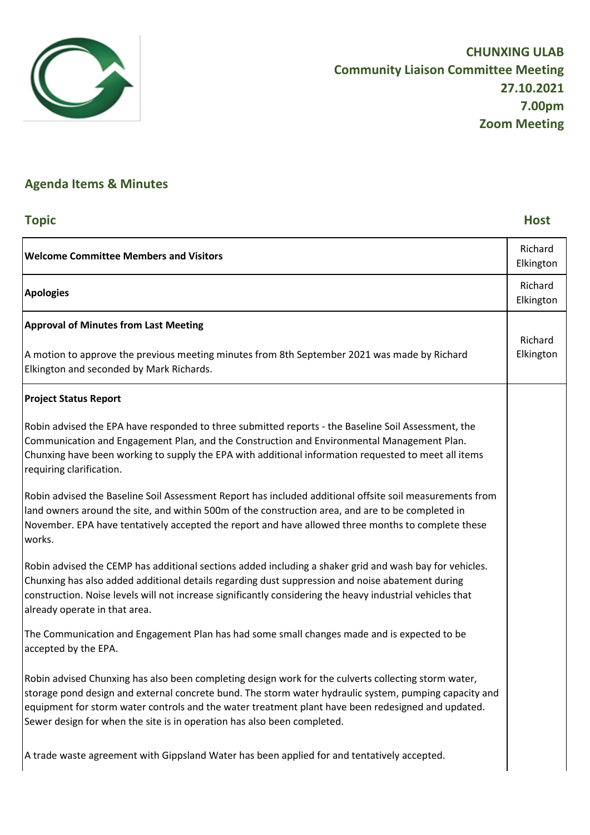

# **Agenda Items & Minutes**

## **Topic Host**

| <b>Welcome Committee Members and Visitors</b>                                                                                                                                                                                                                                                                                                                                                   | Richard<br>Elkington |
|-------------------------------------------------------------------------------------------------------------------------------------------------------------------------------------------------------------------------------------------------------------------------------------------------------------------------------------------------------------------------------------------------|----------------------|
| <b>Apologies</b>                                                                                                                                                                                                                                                                                                                                                                                | Richard<br>Elkington |
| <b>Approval of Minutes from Last Meeting</b>                                                                                                                                                                                                                                                                                                                                                    | Richard              |
| A motion to approve the previous meeting minutes from 8th September 2021 was made by Richard<br>Elkington and seconded by Mark Richards.                                                                                                                                                                                                                                                        | Elkington            |
| <b>Project Status Report</b>                                                                                                                                                                                                                                                                                                                                                                    |                      |
| Robin advised the EPA have responded to three submitted reports - the Baseline Soil Assessment, the<br>Communication and Engagement Plan, and the Construction and Environmental Management Plan.<br>Chunxing have been working to supply the EPA with additional information requested to meet all items<br>requiring clarification.                                                           |                      |
| Robin advised the Baseline Soil Assessment Report has included additional offsite soil measurements from<br>land owners around the site, and within 500m of the construction area, and are to be completed in<br>November. EPA have tentatively accepted the report and have allowed three months to complete these<br>works.                                                                   |                      |
| Robin advised the CEMP has additional sections added including a shaker grid and wash bay for vehicles.<br>Chunxing has also added additional details regarding dust suppression and noise abatement during<br>construction. Noise levels will not increase significantly considering the heavy industrial vehicles that<br>already operate in that area.                                       |                      |
| The Communication and Engagement Plan has had some small changes made and is expected to be<br>accepted by the EPA.                                                                                                                                                                                                                                                                             |                      |
| Robin advised Chunxing has also been completing design work for the culverts collecting storm water,<br>storage pond design and external concrete bund. The storm water hydraulic system, pumping capacity and<br>equipment for storm water controls and the water treatment plant have been redesigned and updated.<br>Sewer design for when the site is in operation has also been completed. |                      |
| A trade waste agreement with Gippsland Water has been applied for and tentatively accepted.                                                                                                                                                                                                                                                                                                     |                      |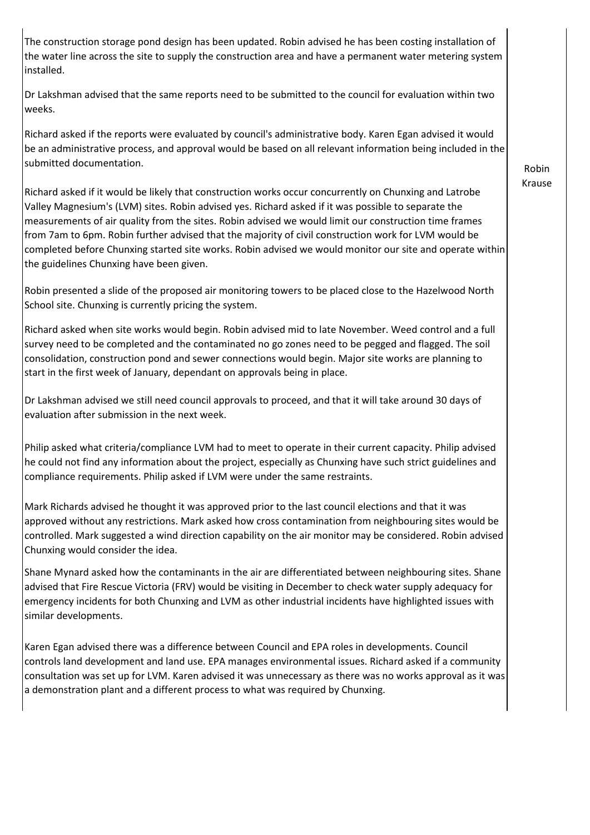The construction storage pond design has been updated. Robin advised he has been costing installation of the water line across the site to supply the construction area and have a permanent water metering system installed.

Dr Lakshman advised that the same reports need to be submitted to the council for evaluation within two weeks.

Richard asked if the reports were evaluated by council's administrative body. Karen Egan advised it would be an administrative process, and approval would be based on all relevant information being included in the submitted documentation.

Richard asked if it would be likely that construction works occur concurrently on Chunxing and Latrobe Valley Magnesium's (LVM) sites. Robin advised yes. Richard asked if it was possible to separate the measurements of air quality from the sites. Robin advised we would limit our construction time frames from 7am to 6pm. Robin further advised that the majority of civil construction work for LVM would be completed before Chunxing started site works. Robin advised we would monitor our site and operate within the guidelines Chunxing have been given.

Robin presented a slide of the proposed air monitoring towers to be placed close to the Hazelwood North School site. Chunxing is currently pricing the system.

Richard asked when site works would begin. Robin advised mid to late November. Weed control and a full survey need to be completed and the contaminated no go zones need to be pegged and flagged. The soil consolidation, construction pond and sewer connections would begin. Major site works are planning to start in the first week of January, dependant on approvals being in place.

Dr Lakshman advised we still need council approvals to proceed, and that it will take around 30 days of evaluation after submission in the next week.

Philip asked what criteria/compliance LVM had to meet to operate in their current capacity. Philip advised he could not find any information about the project, especially as Chunxing have such strict guidelines and compliance requirements. Philip asked if LVM were under the same restraints.

Mark Richards advised he thought it was approved prior to the last council elections and that it was approved without any restrictions. Mark asked how cross contamination from neighbouring sites would be controlled. Mark suggested a wind direction capability on the air monitor may be considered. Robin advised Chunxing would consider the idea.

Shane Mynard asked how the contaminants in the air are differentiated between neighbouring sites. Shane advised that Fire Rescue Victoria (FRV) would be visiting in December to check water supply adequacy for emergency incidents for both Chunxing and LVM as other industrial incidents have highlighted issues with similar developments.

Karen Egan advised there was a difference between Council and EPA roles in developments. Council controls land development and land use. EPA manages environmental issues. Richard asked if a community consultation was set up for LVM. Karen advised it was unnecessary as there was no works approval as it was a demonstration plant and a different process to what was required by Chunxing.

Robin Krause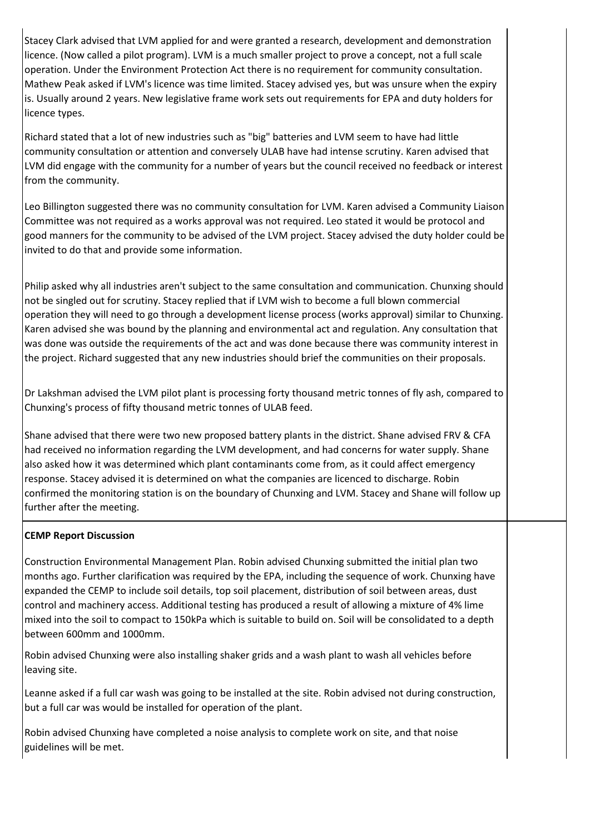Stacey Clark advised that LVM applied for and were granted a research, development and demonstration licence. (Now called a pilot program). LVM is a much smaller project to prove a concept, not a full scale operation. Under the Environment Protection Act there is no requirement for community consultation. Mathew Peak asked if LVM's licence was time limited. Stacey advised yes, but was unsure when the expiry is. Usually around 2 years. New legislative frame work sets out requirements for EPA and duty holders for licence types.

Richard stated that a lot of new industries such as "big" batteries and LVM seem to have had little community consultation or attention and conversely ULAB have had intense scrutiny. Karen advised that LVM did engage with the community for a number of years but the council received no feedback or interest from the community.

Leo Billington suggested there was no community consultation for LVM. Karen advised a Community Liaison Committee was not required as a works approval was not required. Leo stated it would be protocol and good manners for the community to be advised of the LVM project. Stacey advised the duty holder could be invited to do that and provide some information.

Philip asked why all industries aren't subject to the same consultation and communication. Chunxing should not be singled out for scrutiny. Stacey replied that if LVM wish to become a full blown commercial operation they will need to go through a development license process (works approval) similar to Chunxing. Karen advised she was bound by the planning and environmental act and regulation. Any consultation that was done was outside the requirements of the act and was done because there was community interest in the project. Richard suggested that any new industries should brief the communities on their proposals.

Dr Lakshman advised the LVM pilot plant is processing forty thousand metric tonnes of fly ash, compared to Chunxing's process of fifty thousand metric tonnes of ULAB feed.

Shane advised that there were two new proposed battery plants in the district. Shane advised FRV & CFA had received no information regarding the LVM development, and had concerns for water supply. Shane also asked how it was determined which plant contaminants come from, as it could affect emergency response. Stacey advised it is determined on what the companies are licenced to discharge. Robin confirmed the monitoring station is on the boundary of Chunxing and LVM. Stacey and Shane will follow up further after the meeting.

### **CEMP Report Discussion**

Construction Environmental Management Plan. Robin advised Chunxing submitted the initial plan two months ago. Further clarification was required by the EPA, including the sequence of work. Chunxing have expanded the CEMP to include soil details, top soil placement, distribution of soil between areas, dust control and machinery access. Additional testing has produced a result of allowing a mixture of 4% lime mixed into the soil to compact to 150kPa which is suitable to build on. Soil will be consolidated to a depth between 600mm and 1000mm.

Robin advised Chunxing were also installing shaker grids and a wash plant to wash all vehicles before leaving site.

Leanne asked if a full car wash was going to be installed at the site. Robin advised not during construction, but a full car was would be installed for operation of the plant.

Robin advised Chunxing have completed a noise analysis to complete work on site, and that noise guidelines will be met.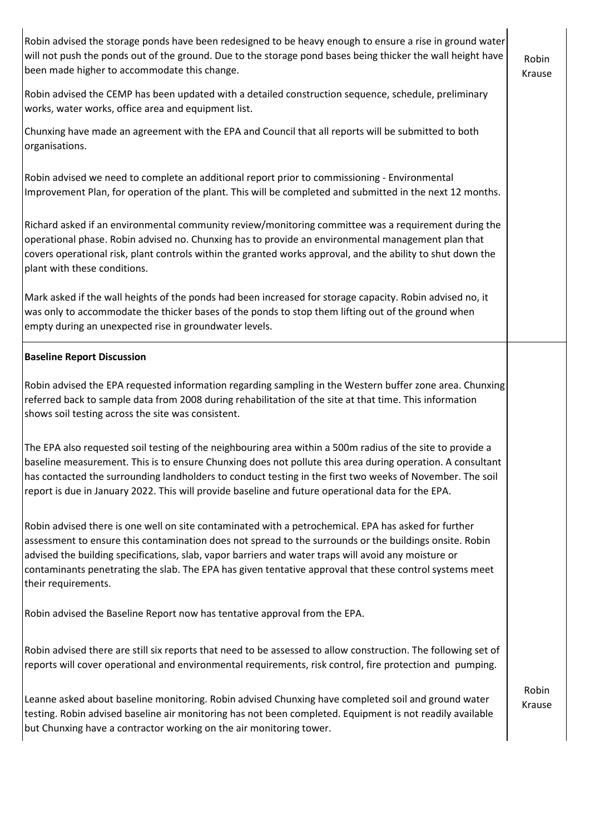Robin advised the storage ponds have been redesigned to be heavy enough to ensure a rise in ground water will not push the ponds out of the ground. Due to the storage pond bases being thicker the wall height have been made higher to accommodate this change.

Robin advised the CEMP has been updated with a detailed construction sequence, schedule, preliminary works, water works, office area and equipment list.

Chunxing have made an agreement with the EPA and Council that all reports will be submitted to both organisations.

Robin advised we need to complete an additional report prior to commissioning - Environmental Improvement Plan, for operation of the plant. This will be completed and submitted in the next 12 months.

Richard asked if an environmental community review/monitoring committee was a requirement during the operational phase. Robin advised no. Chunxing has to provide an environmental management plan that covers operational risk, plant controls within the granted works approval, and the ability to shut down the plant with these conditions.

Mark asked if the wall heights of the ponds had been increased for storage capacity. Robin advised no, it was only to accommodate the thicker bases of the ponds to stop them lifting out of the ground when empty during an unexpected rise in groundwater levels.

#### **Baseline Report Discussion**

Robin advised the EPA requested information regarding sampling in the Western buffer zone area. Chunxing referred back to sample data from 2008 during rehabilitation of the site at that time. This information shows soil testing across the site was consistent.

The EPA also requested soil testing of the neighbouring area within a 500m radius of the site to provide a baseline measurement. This is to ensure Chunxing does not pollute this area during operation. A consultant has contacted the surrounding landholders to conduct testing in the first two weeks of November. The soil report is due in January 2022. This will provide baseline and future operational data for the EPA.

Robin advised there is one well on site contaminated with a petrochemical. EPA has asked for further assessment to ensure this contamination does not spread to the surrounds or the buildings onsite. Robin advised the building specifications, slab, vapor barriers and water traps will avoid any moisture or contaminants penetrating the slab. The EPA has given tentative approval that these control systems meet their requirements.

Robin advised the Baseline Report now has tentative approval from the EPA.

Robin advised there are still six reports that need to be assessed to allow construction. The following set of reports will cover operational and environmental requirements, risk control, fire protection and pumping.

Leanne asked about baseline monitoring. Robin advised Chunxing have completed soil and ground water testing. Robin advised baseline air monitoring has not been completed. Equipment is not readily available but Chunxing have a contractor working on the air monitoring tower.

Robin Krause

Robin Krause